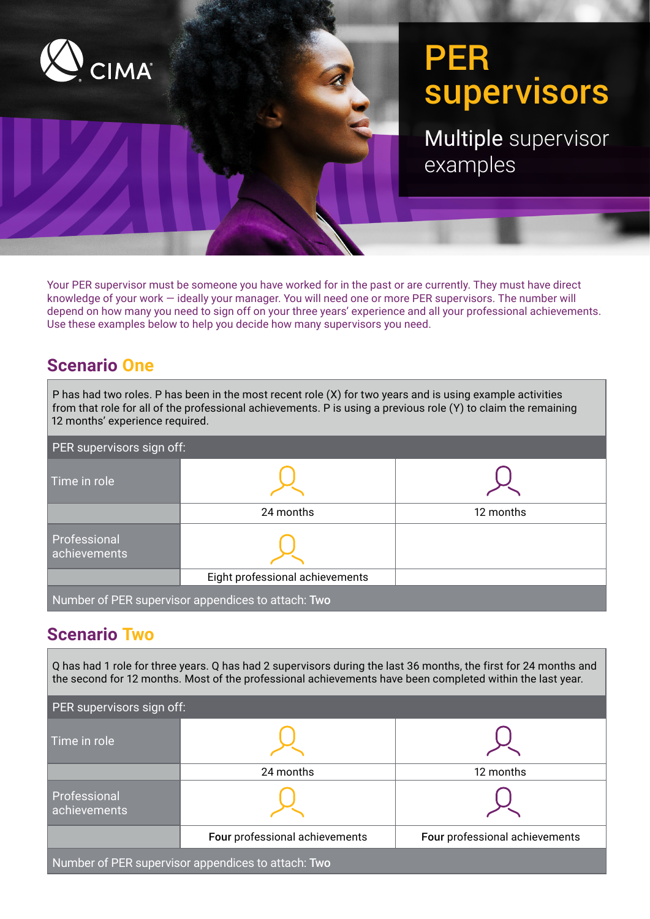

# PER supervisors

Multiple supervisor examples

Your PER supervisor must be someone you have worked for in the past or are currently. They must have direct knowledge of your work — ideally your manager. You will need one or more PER supervisors. The number will depend on how many you need to sign off on your three years' experience and all your professional achievements. Use these examples below to help you decide how many supervisors you need.

# **Scenario One**

| 12 months' experience required.                    | P has had two roles. P has been in the most recent role (X) for two years and is using example activities<br>from that role for all of the professional achievements. P is using a previous role (Y) to claim the remaining |           |  |  |
|----------------------------------------------------|-----------------------------------------------------------------------------------------------------------------------------------------------------------------------------------------------------------------------------|-----------|--|--|
| PER supervisors sign off:                          |                                                                                                                                                                                                                             |           |  |  |
| Time in role                                       |                                                                                                                                                                                                                             |           |  |  |
|                                                    | 24 months                                                                                                                                                                                                                   | 12 months |  |  |
| Professional<br>achievements                       |                                                                                                                                                                                                                             |           |  |  |
|                                                    | Eight professional achievements                                                                                                                                                                                             |           |  |  |
| Number of PER supervisor appendices to attach: Two |                                                                                                                                                                                                                             |           |  |  |

### **Scenario Two**

Q has had 1 role for three years. Q has had 2 supervisors during the last 36 months, the first for 24 months and the second for 12 months. Most of the professional achievements have been completed within the last year.

| PER supervisors sign off:                          |                                |                                |  |  |  |  |
|----------------------------------------------------|--------------------------------|--------------------------------|--|--|--|--|
| Time in role                                       |                                |                                |  |  |  |  |
|                                                    | 24 months                      | 12 months                      |  |  |  |  |
| Professional<br>achievements                       |                                |                                |  |  |  |  |
|                                                    | Four professional achievements | Four professional achievements |  |  |  |  |
| Number of PER supervisor appendices to attach: Two |                                |                                |  |  |  |  |